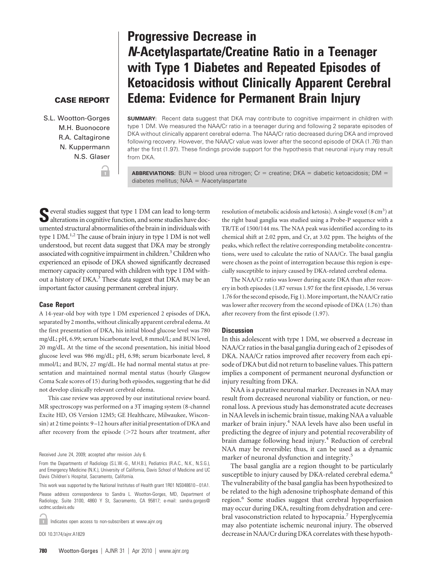# **Progressive Decrease in** *N***-Acetylaspartate/Creatine Ratio in a Teenager with Type 1 Diabetes and Repeated Episodes of Ketoacidosis without Clinically Apparent Cerebral Edema: Evidence for Permanent Brain Injury**

## **CASE REPORT**

S.L. Wootton-Gorges M.H. Buonocore R.A. Caltagirone N. Kuppermann N.S. Glaser

**SUMMARY:** Recent data suggest that DKA may contribute to cognitive impairment in children with type 1 DM. We measured the NAA/Cr ratio in a teenager during and following 2 separate episodes of DKA without clinically apparent cerebral edema. The NAA/Cr ratio decreased during DKA and improved following recovery. However, the NAA/Cr value was lower after the second episode of DKA (1.76) than after the first (1.97). These findings provide support for the hypothesis that neuronal injury may result from DKA.

**ABBREVIATIONS:** BUN = blood urea nitrogen;  $Cr =$  creatine; DKA = diabetic ketoacidosis; DM = diabetes mellitus; NAA = N-acetylaspartate

**S**everal studies suggest that type 1 DM can lead to long-term alterations in cognitive function, and some studies have documented structural abnormalities of the brain in individuals with type 1 DM.<sup>1,2</sup> The cause of brain injury in type 1 DM is not well understood, but recent data suggest that DKA may be strongly associated with cognitive impairment in children.<sup>3</sup> Children who experienced an episode of DKA showed significantly decreased memory capacity compared with children with type 1 DM without a history of DKA.<sup>3</sup> These data suggest that DKA may be an important factor causing permanent cerebral injury.

٦.

#### **Case Report**

A 14-year-old boy with type 1 DM experienced 2 episodes of DKA, separated by 2 months, without clinically apparent cerebral edema. At the first presentation of DKA, his initial blood glucose level was 780 mg/dL; pH, 6.99; serum bicarbonate level, 8 mmol/L; and BUN level, 20 mg/dL. At the time of the second presentation, his initial blood glucose level was 986 mg/dL; pH, 6.98; serum bicarbonate level, 8 mmol/L; and BUN, 27 mg/dL. He had normal mental status at presentation and maintained normal mental status (hourly Glasgow Coma Scale scores of 15) during both episodes, suggesting that he did not develop clinically relevant cerebral edema.

This case review was approved by our institutional review board. MR spectroscopy was performed on a 3T imaging system (8-channel Excite HD, OS Version 12M5; GE Healthcare, Milwaukee, Wisconsin) at 2 time points: 9 –12 hours after initial presentation of DKA and after recovery from the episode  $($ >72 hours after treatment, after

Received June 24, 2009; accepted after revision July 6.

This work was supported by the National Institutes of Health grant 1R01 NS048610 – 01A1.

Please address correspondence to Sandra L. Wootton-Gorges, MD, Department of Radiology, Suite 3100, 4860 Y St, Sacramento, CA 95817; e-mail: sandra.gorges@ ucdmc.ucdavis.edu

Indicates open access to non-subscribers at www.ajnr.org  $\mathbf{r}$ 

DOI 10.3174/ajnr.A1829

ery in both episodes (1.87 versus 1.97 for the first episode, 1.56 versus 1.76 for the second episode, Fig 1). More important, the NAA/Cr ratio was lower after recovery from the second episode of DKA (1.76) than after recovery from the first episode (1.97).

### **Discussion**

In this adolescent with type 1 DM, we observed a decrease in NAA/Cr ratios in the basal ganglia during each of 2 episodes of DKA. NAA/Cr ratios improved after recovery from each episode of DKA but did not return to baseline values. This pattern implies a component of permanent neuronal dysfunction or injury resulting from DKA.

resolution of metabolic acidosis and ketosis). A single voxel  $(8 \text{ cm}^3)$  at the right basal ganglia was studied using a Probe-P sequence with a TR/TE of 1500/144 ms. The NAA peak was identified according to its chemical shift at 2.02 ppm, and Cr, at 3.02 ppm. The heights of the peaks, which reflect the relative corresponding metabolite concentrations, were used to calculate the ratio of NAA/Cr. The basal ganglia were chosen as the point of interrogation because this region is especially susceptible to injury caused by DKA-related cerebral edema. The NAA/Cr ratio was lower during acute DKA than after recov-

NAA is a putative neuronal marker. Decreases in NAA may result from decreased neuronal viability or function, or neuronal loss. A previous study has demonstrated acute decreases in NAA levels in ischemic brain tissue, making NAA a valuable marker of brain injury.<sup>4</sup> NAA levels have also been useful in predicting the degree of injury and potential recoverability of brain damage following head injury.<sup>4</sup> Reduction of cerebral NAA may be reversible; thus, it can be used as a dynamic marker of neuronal dysfunction and integrity.<sup>5</sup>

The basal ganglia are a region thought to be particularly susceptible to injury caused by DKA-related cerebral edema.<sup>6</sup> The vulnerability of the basal ganglia has been hypothesized to be related to the high adenosine triphosphate demand of this region.<sup>6</sup> Some studies suggest that cerebral hypoperfusion may occur during DKA, resulting from dehydration and cerebral vasoconstriction related to hypocapnia.<sup>7</sup> Hyperglycemia may also potentiate ischemic neuronal injury. The observed decrease in NAA/Cr during DKA correlates with these hypoth-

From the Departments of Radiology (S.L.W.-G., M.H.B.), Pediatrics (R.A.C., N.K., N.S.G.), and Emergency Medicine (N.K.), University of California, Davis School of Medicine and UC Davis Children's Hospital, Sacramento, California.